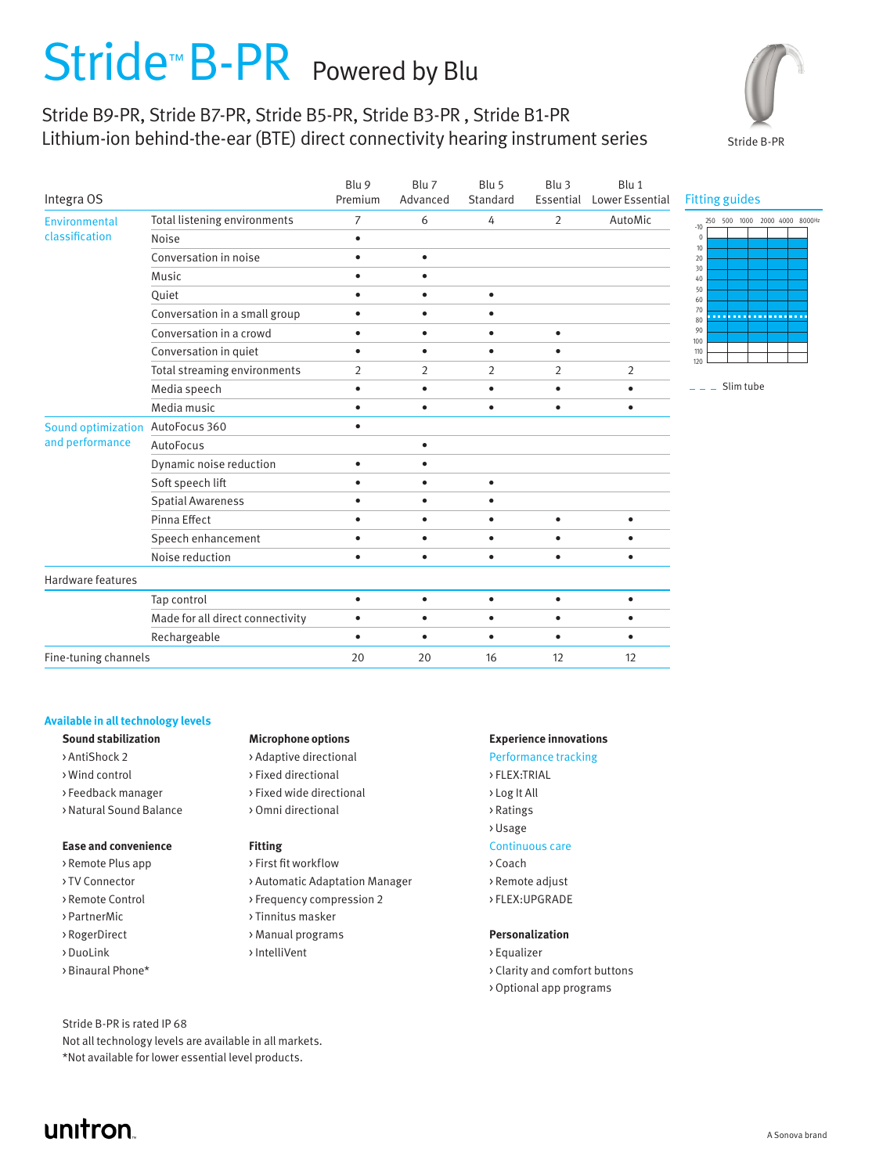# Stride<sup>™</sup> B-PR Powered by Blu

# Stride B9-PR, Stride B7-PR, Stride B5-PR, Stride B3-PR , Stride B1-PR Lithium-ion behind-the-ear (BTE) direct connectivity hearing instrument series



| Integra OS                            |                                  | Blu 9<br>Premium | Blu 7<br>Advanced | Blu 5<br>Standard | Blu 3          | Blu 1<br>Essential Lower Essential | <b>Fitting guides</b>                  |
|---------------------------------------|----------------------------------|------------------|-------------------|-------------------|----------------|------------------------------------|----------------------------------------|
| Environmental<br>classification       | Total listening environments     | $\overline{7}$   | 6                 | 4                 | $\overline{2}$ | AutoMic                            | 250 500 1000 2000 4000 8000Hz<br>$-10$ |
|                                       | Noise                            | $\bullet$        |                   |                   |                |                                    | $\mathbf{0}$<br>$10$                   |
|                                       | Conversation in noise            | $\bullet$        | $\bullet$         |                   |                |                                    | $20\,$                                 |
|                                       | Music                            | $\bullet$        | $\bullet$         |                   |                |                                    | 30<br>40                               |
|                                       | Quiet                            | $\bullet$        | $\bullet$         | $\bullet$         |                |                                    | 50<br>60                               |
|                                       | Conversation in a small group    | $\bullet$        | $\bullet$         | ٠                 |                |                                    | 70<br>-----------------<br>80          |
|                                       | Conversation in a crowd          | $\bullet$        | $\bullet$         | $\bullet$         | $\bullet$      |                                    | 90<br>100                              |
|                                       | Conversation in quiet            | $\bullet$        | $\bullet$         | $\bullet$         | $\bullet$      |                                    | 110                                    |
|                                       | Total streaming environments     | $\overline{2}$   | $\overline{2}$    | $\overline{2}$    | $\overline{2}$ | $\overline{2}$                     | 120                                    |
|                                       | Media speech                     | $\bullet$        | $\bullet$         | $\bullet$         | $\bullet$      | $\bullet$                          | $\_$ Slim tube                         |
|                                       | Media music                      | $\bullet$        | $\bullet$         | ٠                 | $\bullet$      | $\bullet$                          |                                        |
| Sound optimization<br>and performance | AutoFocus 360                    | $\bullet$        |                   |                   |                |                                    |                                        |
|                                       | AutoFocus                        |                  | $\bullet$         |                   |                |                                    |                                        |
|                                       | Dynamic noise reduction          | $\bullet$        | $\bullet$         |                   |                |                                    |                                        |
|                                       | Soft speech lift                 | $\bullet$        | $\bullet$         | $\bullet$         |                |                                    |                                        |
|                                       | <b>Spatial Awareness</b>         | $\bullet$        | $\bullet$         | ٠                 |                |                                    |                                        |
|                                       | Pinna Effect                     | $\bullet$        | $\bullet$         | $\bullet$         | $\bullet$      | $\bullet$                          |                                        |
|                                       | Speech enhancement               | $\bullet$        | $\bullet$         | $\bullet$         | $\bullet$      | $\bullet$                          |                                        |
|                                       | Noise reduction                  | $\bullet$        | $\bullet$         | $\bullet$         | $\bullet$      | $\bullet$                          |                                        |
| Hardware features                     |                                  |                  |                   |                   |                |                                    |                                        |
|                                       | Tap control                      | $\bullet$        | $\bullet$         | $\bullet$         | $\bullet$      | $\bullet$                          |                                        |
|                                       | Made for all direct connectivity | $\bullet$        | $\bullet$         | $\bullet$         | $\bullet$      | $\bullet$                          |                                        |
|                                       | Rechargeable                     | $\bullet$        | $\bullet$         | $\bullet$         | $\bullet$      | $\bullet$                          |                                        |
| Fine-tuning channels                  |                                  | 20               | 20                | 16                | 12             | 12                                 |                                        |

### **Available in all technology levels**

- 
- 
- 
- > Natural Sound Balance > Omni directional > Ratings

### **Ease and convenience Fitting Fitting** Continuous care

- 
- 
- 
- 
- 
- 
- 

- > AntiShock 2 > Adaptive directional Performance tracking
- > Wind control > Fixed directional > FLEX:TRIAL
- >Feedback manager > Fixed wide directional > Log It All
	-

- > Remote Plus app > First fit workflow > Coach
- > TV Connector > > Automatic Adaptation Manager > Remote adjust
- > Remote Control > Frequency compression 2 > FLEX:UPGRADE
- > PartnerMic > Tinnitus masker
	-
- > DuoLink > IntelliVent > Equalizer

### **Sound stabilization Microphone options Experience innovations**

- 
- 
- 
- > Usage

- 
- 
- 

### > RogerDirect > Manual programs **Personalization**

- > Binaural Phone\* > Clarity and comfort buttons
	- > Optional app programs

Stride B-PR is rated IP 68

Not all technology levels are available in all markets. \*Not available for lower essential level products.

# unitron